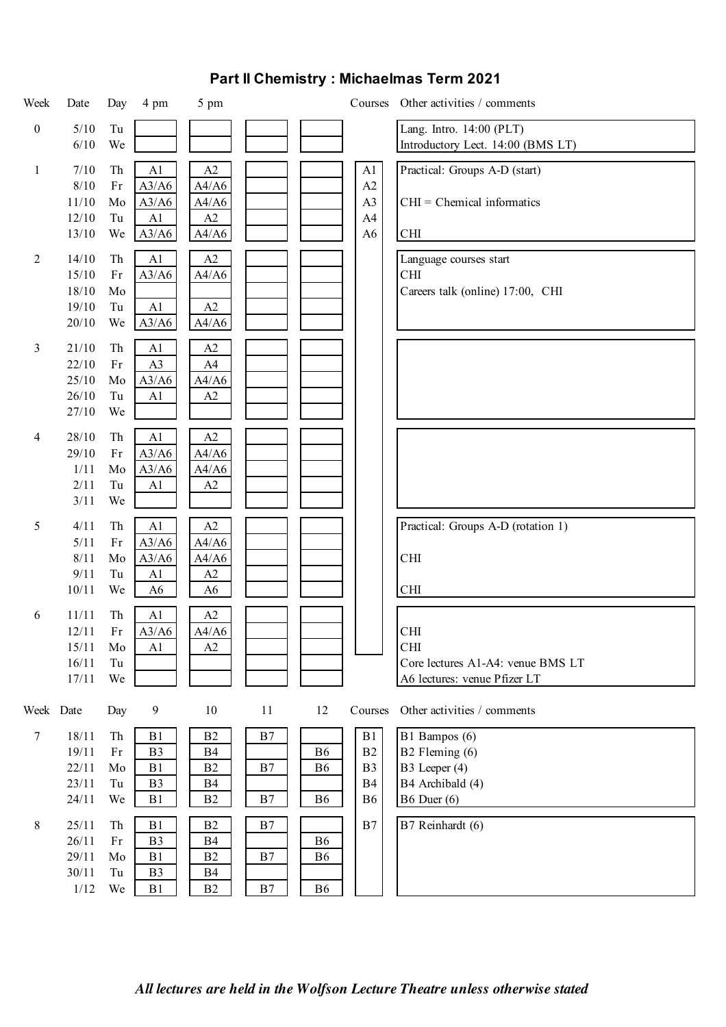| Week             | Date   | Day                           | 4 pm           | 5 pm           |    |                |                | Courses Other activities / comments |
|------------------|--------|-------------------------------|----------------|----------------|----|----------------|----------------|-------------------------------------|
| $\boldsymbol{0}$ | $5/10$ | Tu                            |                |                |    |                |                | Lang. Intro. 14:00 (PLT)            |
|                  | 6/10   | We                            |                |                |    |                |                | Introductory Lect. 14:00 (BMS LT)   |
| $\mathbf{1}$     | 7/10   | Th                            | A1             | A2             |    |                | A1             | Practical: Groups A-D (start)       |
|                  | 8/10   | Fr                            | A3/A6          | A4/A6          |    |                | A2             |                                     |
|                  | 11/10  | Mo                            | A3/A6          | A4/A6          |    |                | A <sub>3</sub> | $CHI = Chemical$ informatics        |
|                  | 12/10  | Tu                            | A <sub>1</sub> | A2             |    |                | A <sub>4</sub> |                                     |
|                  | 13/10  | We                            | A3/A6          | A4/A6          |    |                | A <sub>6</sub> | $\mathop{\rm CHI}\nolimits$         |
| $\overline{2}$   | 14/10  | Th                            | A1             | $\rm A2$       |    |                |                | Language courses start              |
|                  | 15/10  | Fr                            | A3/A6          | A4/A6          |    |                |                | <b>CHI</b>                          |
|                  | 18/10  | Mo                            |                |                |    |                |                | Careers talk (online) 17:00, CHI    |
|                  | 19/10  | Tu                            | A1             | A2             |    |                |                |                                     |
|                  | 20/10  | We                            | A3/A6          | A4/A6          |    |                |                |                                     |
| 3                | 21/10  | Th                            | A1             | A2             |    |                |                |                                     |
|                  | 22/10  | Fr                            | A <sub>3</sub> | A4             |    |                |                |                                     |
|                  | 25/10  | Mo                            | A3/A6          | A4/A6          |    |                |                |                                     |
|                  | 26/10  | Tu                            | A <sub>1</sub> | $\rm A2$       |    |                |                |                                     |
|                  | 27/10  | We                            |                |                |    |                |                |                                     |
| 4                | 28/10  | Th                            | A <sub>1</sub> | A2             |    |                |                |                                     |
|                  | 29/10  | Fr                            | A3/A6          | A4/A6          |    |                |                |                                     |
|                  | 1/11   | Mo                            | A3/A6          | A4/A6          |    |                |                |                                     |
|                  | 2/11   | Tu                            | A <sub>1</sub> | A2             |    |                |                |                                     |
|                  | 3/11   | We                            |                |                |    |                |                |                                     |
| 5                | 4/11   | Th                            | A1             | A2             |    |                |                | Practical: Groups A-D (rotation 1)  |
|                  | 5/11   | Fr                            | A3/A6          | A4/A6          |    |                |                |                                     |
|                  | 8/11   | Mo                            | A3/A6          | A4/A6          |    |                |                | <b>CHI</b>                          |
|                  | 9/11   | Tu                            | A1             | A2             |    |                |                |                                     |
|                  | 10/11  | We                            | A6             | A <sub>6</sub> |    |                |                | CHI                                 |
| 6                | 11/11  | Th                            | A <sub>1</sub> | $\rm A2$       |    |                |                |                                     |
|                  | 12/11  | Fr                            | A3/A6          | A4/A6          |    |                |                | <b>CHI</b>                          |
|                  | 15/11  | Mo                            | A1             | A2             |    |                |                | <b>CHI</b>                          |
|                  | 16/11  | Tu                            |                |                |    |                |                | Core lectures A1-A4: venue BMS LT   |
|                  | 17/11  | We                            |                |                |    |                |                | A6 lectures: venue Pfizer LT        |
| Week Date        |        | Day                           | 9              | 10             | 11 | 12             | Courses        | Other activities / comments         |
| $\tau$           | 18/11  | Th                            | B1             | B <sub>2</sub> | B7 |                | B1             | B1 Bampos (6)                       |
|                  | 19/11  | Fr                            | B <sub>3</sub> | <b>B4</b>      |    | B <sub>6</sub> | B <sub>2</sub> | B2 Fleming (6)                      |
|                  | 22/11  | Mo                            | B <sub>1</sub> | B2             | B7 | B <sub>6</sub> | B <sub>3</sub> | B3 Leeper (4)                       |
|                  | 23/11  | Tu                            | B <sub>3</sub> | <b>B4</b>      |    |                | <b>B4</b>      | B4 Archibald (4)                    |
|                  | 24/11  | We                            | B <sub>1</sub> | B <sub>2</sub> | B7 | <b>B6</b>      | <b>B6</b>      | $B6$ Duer $(6)$                     |
| $\,8\,$          | 25/11  | Th                            | B <sub>1</sub> | B2             | B7 |                | B7             | B7 Reinhardt (6)                    |
|                  | 26/11  | $\mathop{\text{Fr}}\nolimits$ | B <sub>3</sub> | <b>B4</b>      |    | B <sub>6</sub> |                |                                     |
|                  | 29/11  | Mo                            | B <sub>1</sub> | B <sub>2</sub> | B7 | B6             |                |                                     |
|                  | 30/11  | Tu                            | B <sub>3</sub> | <b>B4</b>      |    |                |                |                                     |
|                  | 1/12   | We                            | B <sub>1</sub> | B <sub>2</sub> | B7 | <b>B6</b>      |                |                                     |

## **Part II Chemistry : Michaelmas Term 2021**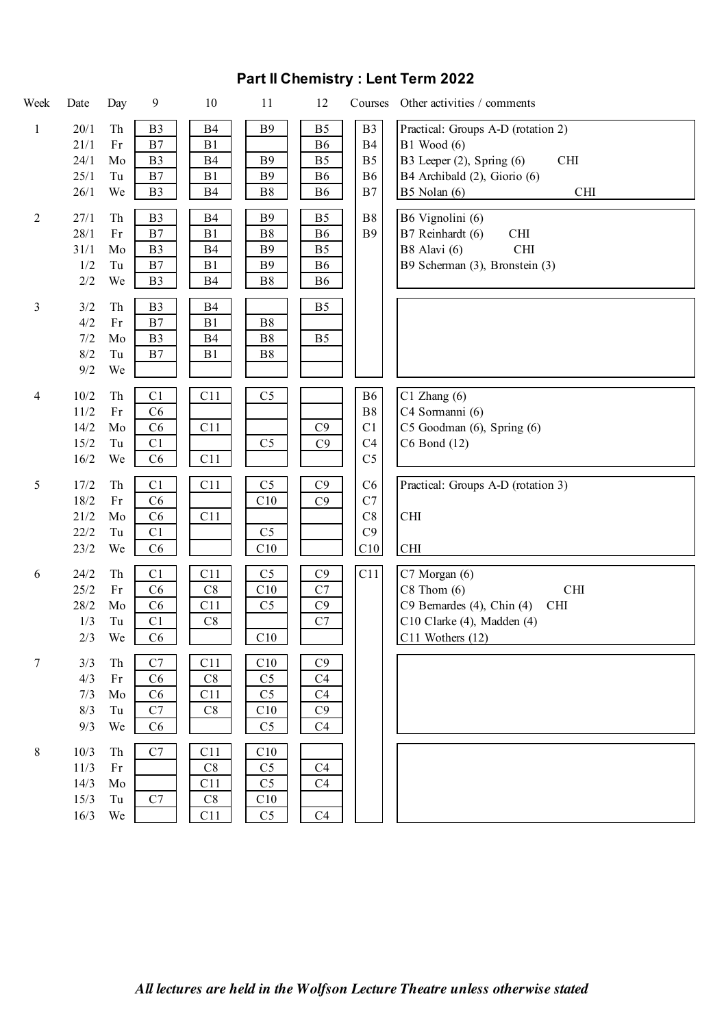| Week           | Date  | Day                           | 9              | 10        | 11             | 12             | Courses        | Other activities / comments                     |
|----------------|-------|-------------------------------|----------------|-----------|----------------|----------------|----------------|-------------------------------------------------|
| $\mathbf{1}$   | 20/1  | Th                            | B <sub>3</sub> | <b>B4</b> | <b>B</b> 9     | B <sub>5</sub> | B <sub>3</sub> | Practical: Groups A-D (rotation 2)              |
|                | 21/1  | Fr                            | B7             | B1        |                | <b>B6</b>      | <b>B4</b>      | $B1$ Wood $(6)$                                 |
|                | 24/1  | Mo                            | B <sub>3</sub> | B4        | <b>B9</b>      | B <sub>5</sub> | B <sub>5</sub> | B3 Leeper (2), Spring (6)<br><b>CHI</b>         |
|                | 25/1  | Tu                            | B7             | B1        | <b>B</b> 9     | <b>B6</b>      | <b>B6</b>      | B4 Archibald (2), Giorio (6)                    |
|                | 26/1  | We                            | B <sub>3</sub> | <b>B4</b> | ${\bf B8}$     | <b>B6</b>      | B7             | B5 Nolan (6)<br>CHI                             |
| $\overline{2}$ | 27/1  | Th                            | B <sub>3</sub> | B4        | <b>B</b> 9     | B <sub>5</sub> | ${\bf B8}$     | B6 Vignolini (6)                                |
|                | 28/1  | Fr                            | B7             | B1        | ${\bf B8}$     | <b>B6</b>      | <b>B9</b>      | $\mathop{\rm CHI}\nolimits$<br>B7 Reinhardt (6) |
|                | 31/1  | Mo                            | B <sub>3</sub> | B4        | <b>B</b> 9     | B <sub>5</sub> |                | B8 Alavi (6)<br>CHI                             |
|                | 1/2   | Tu                            | B7             | B1        | <b>B</b> 9     | <b>B6</b>      |                | B9 Scherman (3), Bronstein (3)                  |
|                | $2/2$ | We                            | B <sub>3</sub> | <b>B4</b> | ${\bf B8}$     | <b>B6</b>      |                |                                                 |
|                |       |                               |                |           |                |                |                |                                                 |
| 3              | 3/2   | Th                            | B <sub>3</sub> | <b>B4</b> |                | B <sub>5</sub> |                |                                                 |
|                | 4/2   | Fr                            | $\rm B7$       | B1        | $\mathbf{B}8$  |                |                |                                                 |
|                | 7/2   | Mo                            | B <sub>3</sub> | <b>B4</b> | B8             | B <sub>5</sub> |                |                                                 |
|                | 8/2   | Tu                            | B7             | B1        | $\mathbf{B}8$  |                |                |                                                 |
|                | 9/2   | We                            |                |           |                |                |                |                                                 |
| $\overline{4}$ | 10/2  | Th                            | C1             | C11       | C <sub>5</sub> |                | <b>B6</b>      | $C1$ Zhang $(6)$                                |
|                | 11/2  | $\rm Fr$                      | C6             |           |                |                | ${\bf B8}$     | C4 Sormanni (6)                                 |
|                | 14/2  | Mo                            | C6             | C11       |                | C9             | C1             | C5 Goodman (6), Spring (6)                      |
|                | 15/2  | Tu                            | C1             |           | C <sub>5</sub> | C9             | C <sub>4</sub> | C6 Bond (12)                                    |
|                | 16/2  | We                            | C6             | C11       |                |                | C <sub>5</sub> |                                                 |
|                |       |                               |                |           |                |                |                |                                                 |
| 5              | 17/2  | Th                            | C1             | C11       | C <sub>5</sub> | C9             | C6             | Practical: Groups A-D (rotation 3)              |
|                | 18/2  | $\mathop{\text{Fr}}\nolimits$ | C6             |           | C10            | C9             | C7             |                                                 |
|                | 21/2  | Mo                            | C6             | C11       |                |                | C8             | <b>CHI</b>                                      |
|                | 22/2  | Tu                            | C1             |           | C <sub>5</sub> |                | C9             |                                                 |
|                | 23/2  | We                            | C6             |           | C10            |                | C10            | CHI                                             |
| 6              | 24/2  | Th                            | C1             | C11       | C <sub>5</sub> | C9             | C11            | C7 Morgan (6)                                   |
|                | 25/2  | Fr                            | C6             | $\rm{C}8$ | C10            | C7             |                | $C8$ Thom $(6)$<br><b>CHI</b>                   |
|                | 28/2  | Mo                            | C6             | C11       | C <sub>5</sub> | C9             |                | C9 Bernardes (4), Chin (4)<br>CHI               |
|                | 1/3   | Tu                            | C1             | $\rm C8$  |                | $\mathbf{C}7$  |                | C10 Clarke (4), Madden (4)                      |
|                | 2/3   | We                            | C6             |           | C10            |                |                | $C11$ Wothers $(12)$                            |
|                |       |                               |                |           |                |                |                |                                                 |
| 7              | 3/3   | Th                            | C7             | C11       | C10            | C9             |                |                                                 |
|                | 4/3   | Fr                            | C6             | C8        | C <sub>5</sub> | C <sub>4</sub> |                |                                                 |
|                | 7/3   | Mo                            | C6             | C11       | C <sub>5</sub> | C <sub>4</sub> |                |                                                 |
|                | 8/3   | Tu                            | C7             | $\rm C8$  | C10            | C9             |                |                                                 |
|                | 9/3   | We                            | C6             |           | C <sub>5</sub> | C <sub>4</sub> |                |                                                 |
| $\,8\,$        | 10/3  | Th                            | $\mathbf{C}7$  | C11       | C10            |                |                |                                                 |
|                | 11/3  | Fr                            |                | C8        | C <sub>5</sub> | C <sub>4</sub> |                |                                                 |
|                | 14/3  | Mo                            |                | C11       | C <sub>5</sub> | C4             |                |                                                 |
|                | 15/3  | Tu                            | C7             | C8        | C10            |                |                |                                                 |
|                | 16/3  | We                            |                | C11       | C <sub>5</sub> | C4             |                |                                                 |

## **Part II Chemistry : Lent Term 2022**